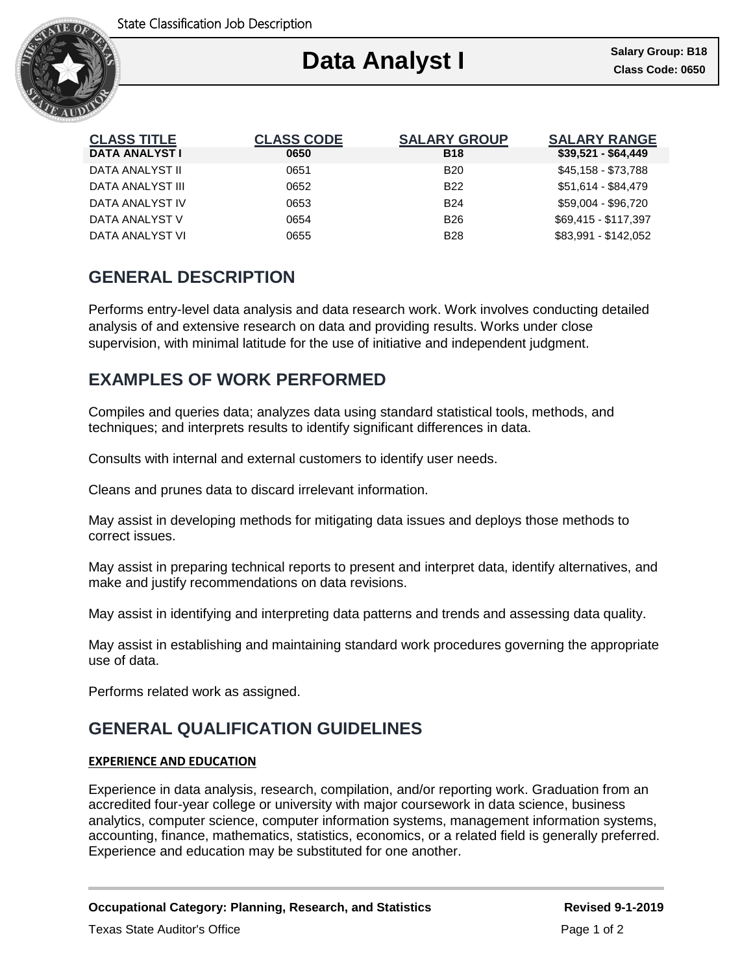

| <b>CLASS CODE</b> | <b>SALARY GROUP</b> | <b>SALARY RANGE</b><br>\$39,521 - \$64,449 |
|-------------------|---------------------|--------------------------------------------|
|                   |                     |                                            |
| 0651              | <b>B20</b>          | \$45,158 - \$73,788                        |
| 0652              | B <sub>22</sub>     | \$51,614 - \$84,479                        |
| 0653              | <b>B24</b>          | \$59,004 - \$96,720                        |
| 0654              | <b>B26</b>          | \$69,415 - \$117,397                       |
| 0655              | <b>B28</b>          | \$83,991 - \$142,052                       |
|                   | 0650                | <b>B18</b>                                 |

## **GENERAL DESCRIPTION**

Performs entry-level data analysis and data research work. Work involves conducting detailed analysis of and extensive research on data and providing results. Works under close supervision, with minimal latitude for the use of initiative and independent judgment.

## **EXAMPLES OF WORK PERFORMED**

Compiles and queries data; analyzes data using standard statistical tools, methods, and techniques; and interprets results to identify significant differences in data.

Consults with internal and external customers to identify user needs.

Cleans and prunes data to discard irrelevant information.

May assist in developing methods for mitigating data issues and deploys those methods to correct issues.

May assist in preparing technical reports to present and interpret data, identify alternatives, and make and justify recommendations on data revisions.

May assist in identifying and interpreting data patterns and trends and assessing data quality.

May assist in establishing and maintaining standard work procedures governing the appropriate use of data.

Performs related work as assigned.

# **GENERAL QUALIFICATION GUIDELINES**

### **EXPERIENCE AND EDUCATION**

Experience in data analysis, research, compilation, and/or reporting work. Graduation from an accredited four-year college or university with major coursework in data science, business analytics, computer science, computer information systems, management information systems, accounting, finance, mathematics, statistics, economics, or a related field is generally preferred. Experience and education may be substituted for one another.